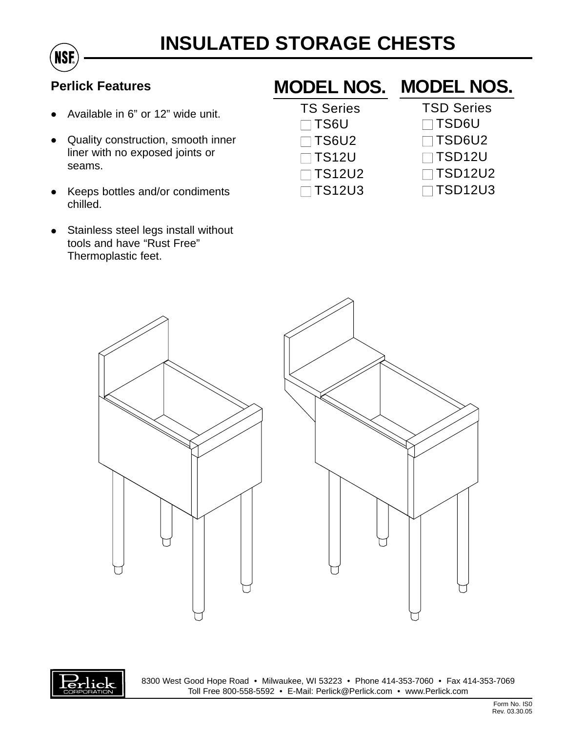

## **Perlick Features**

- Available in 6" or 12" wide unit.
- Quality construction, smooth inner liner with no exposed joints or seams.
- Keeps bottles and/or condiments chilled.
- Stainless steel legs install without tools and have "Rust Free" Thermoplastic feet.

## **MODEL NOS. MODEL NOS.**

| <b>TS Series</b> |  |
|------------------|--|
| $\Box$ TS6U      |  |
| $\Box$ TS6U2     |  |
| $\Box$ TS12U     |  |
| $\Box$ TS12U2    |  |
| $\square$ TS12U3 |  |

- TSD Series
- TSD6U
- TSD6U2
- TSD12U
- 
- TSD12U2
- □ TSD12U3





8300 West Good Hope Road • Milwaukee, WI 53223 • Phone 414-353-7060 • Fax 414-353-7069 Toll Free 800-558-5592 • E-Mail: Perlick@Perlick.com • www.Perlick.com